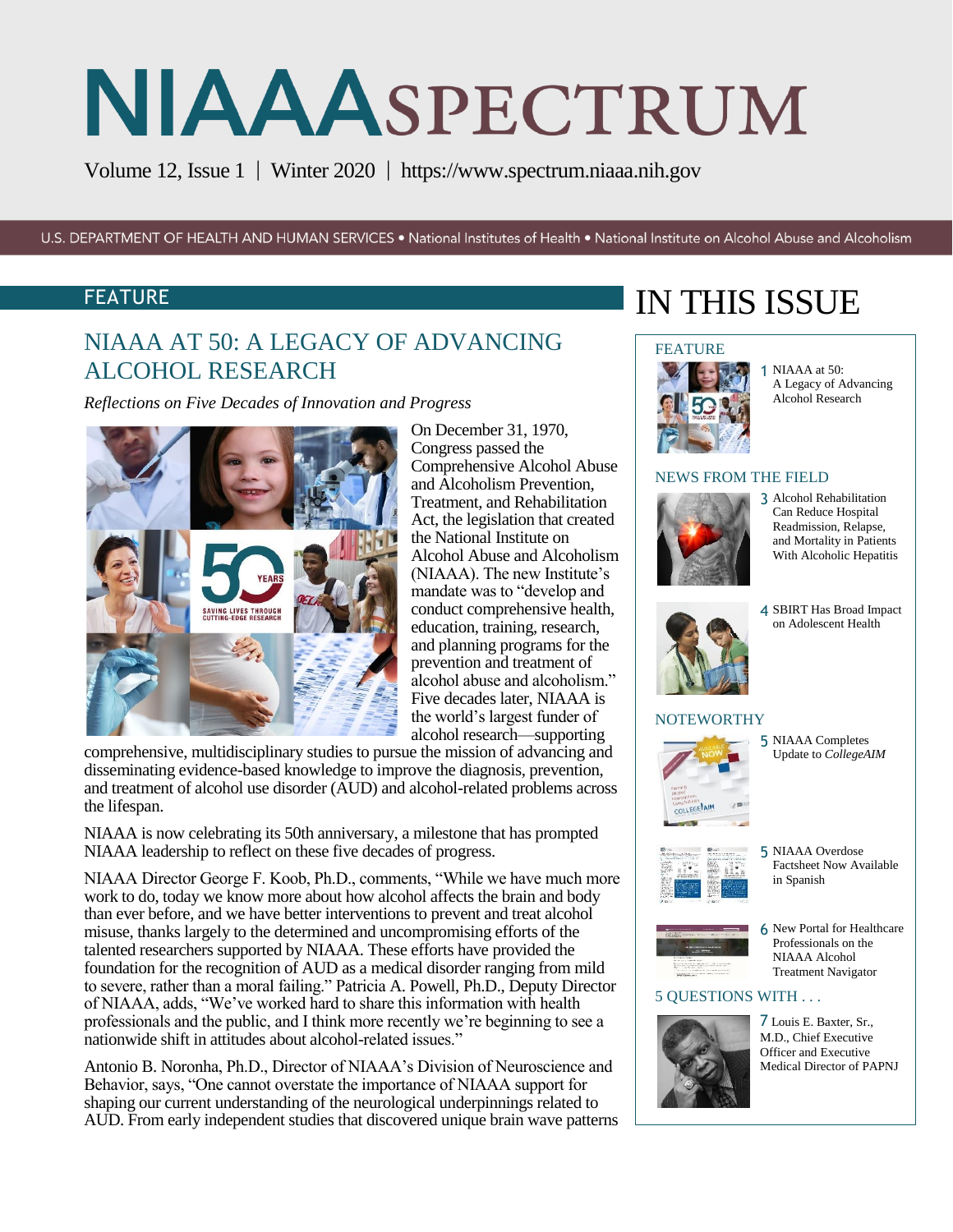Volume 12, Issue 1 | Winter 2020 | https:/[/www.spectrum.niaaa.nih.gov](http://www.spectrum.niaaa.nih.gov/)

U.S. DEPARTMENT OF HEALTH AND HUMAN SERVICES . National Institutes of Health . National Institute on Alcohol Abuse and Alcoholism

### FEATURE

# NIAAA AT 50: A LEGACY OF ADVANCING ALCOHOL RESEARCH

*Reflections on Five Decades of Innovation and Progress* 



On December 31, 1970, Congress passed the Comprehensive Alcohol Abuse and Alcoholism Prevention, Treatment, and Rehabilitation Act, the legislation that created the National Institute on Alcohol Abuse and Alcoholism (NIAAA). The new Institute's mandate was to "develop and conduct comprehensive health, education, training, research, and planning programs for the prevention and treatment of alcohol abuse and alcoholism." Five decades later, NIAAA is the world's largest funder of alcohol research—supporting

comprehensive, multidisciplinary studies to pursue the mission of advancing and disseminating evidence-based knowledge to improve the diagnosis, prevention, and treatment of alcohol use disorder (AUD) and alcohol-related problems across the lifespan.

NIAAA is now celebrating its 50th anniversary, a milestone that has prompted NIAAA leadership to reflect on these five decades of progress.

NIAAA Director George F. Koob, Ph.D., comments, "While we have much more work to do, today we know more about how alcohol affects the brain and body than ever before, and we have better interventions to prevent and treat alcohol misuse, thanks largely to the determined and uncompromising efforts of the talented researchers supported by NIAAA. These efforts have provided the foundation for the recognition of AUD as a medical disorder ranging from mild to severe, rather than a moral failing." Patricia A. Powell, Ph.D., Deputy Director of NIAAA, adds, "We've worked hard to share this information with health professionals and the public, and I think more recently we're beginning to see a nationwide shift in attitudes about alcohol-related issues."

Antonio B. Noronha, Ph.D., Director of NIAAA's Division of Neuroscience and Behavior, says, "One cannot overstate the importance of NIAAA support for shaping our current understanding of the neurological underpinnings related to AUD. From early independent studies that discovered unique brain wave patterns

# IN THIS ISSUE

## **FEATURE**



1 NIAAA at 50: A Legacy of Advancing Alcohol Research

#### NEWS FROM THE FIELD



3 Alcohol Rehabilitation Can Reduce Hospital Readmission, Relapse, and Mortality in Patients With Alcoholic Hepatitis



#### 4 SBIRT Has Broad Impact on Adolescent Health

#### **NOTEWORTHY**



5 NIAAA Completes Update to *CollegeAIM*



5 NIAAA Overdose Factsheet Now Available in Spanish



6 New Portal for Healthcare Professionals on the NIAAA Alcohol Treatment Navigator

#### 5 QUESTIONS WITH . . .



7 Louis E. Baxter, Sr., M.D., Chief Executive Officer and Executive Medical Director of PAPNJ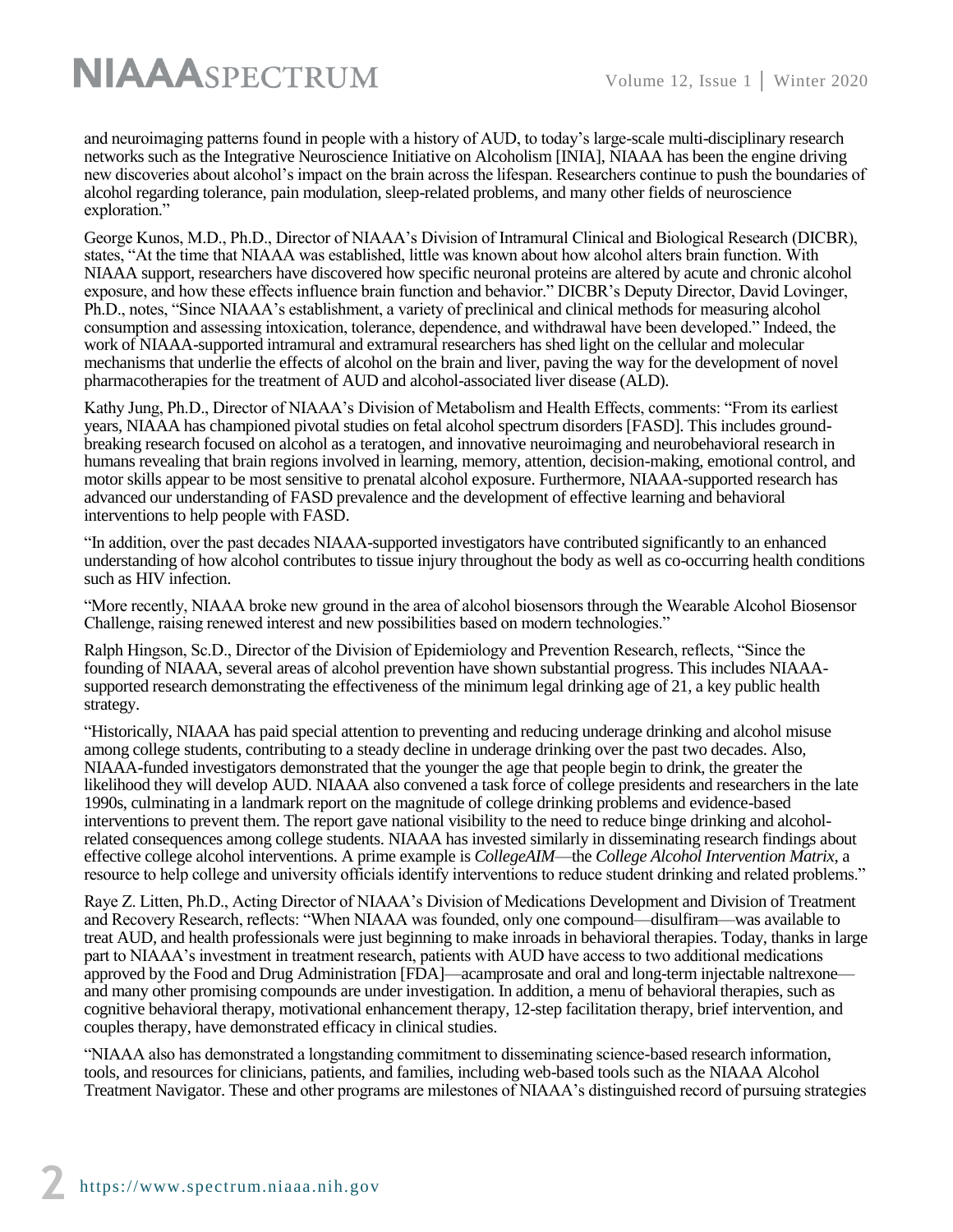and neuroimaging patterns found in people with a history of AUD, to today's large-scale multi-disciplinary research networks such as the Integrative Neuroscience Initiative on Alcoholism [INIA], NIAAA has been the engine driving new discoveries about alcohol's impact on the brain across the lifespan. Researchers continue to push the boundaries of alcohol regarding tolerance, pain modulation, sleep-related problems, and many other fields of neuroscience exploration."

George Kunos, M.D., Ph.D., Director of NIAAA's Division of Intramural Clinical and Biological Research (DICBR), states, "At the time that NIAAA was established, little was known about how alcohol alters brain function. With NIAAA support, researchers have discovered how specific neuronal proteins are altered by acute and chronic alcohol exposure, and how these effects influence brain function and behavior." DICBR's Deputy Director, David Lovinger, Ph.D., notes, "Since NIAAA's establishment, a variety of preclinical and clinical methods for measuring alcohol consumption and assessing intoxication, tolerance, dependence, and withdrawal have been developed." Indeed, the work of NIAAA-supported intramural and extramural researchers has shed light on the cellular and molecular mechanisms that underlie the effects of alcohol on the brain and liver, paving the way for the development of novel pharmacotherapies for the treatment of AUD and alcohol-associated liver disease (ALD).

Kathy Jung, Ph.D., Director of NIAAA's Division of Metabolism and Health Effects, comments: "From its earliest years, NIAAA has championed pivotal studies on fetal alcohol spectrum disorders [FASD]. This includes groundbreaking research focused on alcohol as a teratogen, and innovative neuroimaging and neurobehavioral research in humans revealing that brain regions involved in learning, memory, attention, decision-making, emotional control, and motor skills appear to be most sensitive to prenatal alcohol exposure. Furthermore, NIAAA-supported research has advanced our understanding of FASD prevalence and the development of effective learning and behavioral interventions to help people with FASD.

"In addition, over the past decades NIAAA-supported investigators have contributed significantly to an enhanced understanding of how alcohol contributes to tissue injury throughout the body as well as co-occurring health conditions such as HIV infection.

"More recently, NIAAA broke new ground in the area of alcohol biosensors through the Wearable Alcohol Biosensor Challenge, raising renewed interest and new possibilities based on modern technologies."

Ralph Hingson, Sc.D., Director of the Division of Epidemiology and Prevention Research, reflects, "Since the founding of NIAAA, several areas of alcohol prevention have shown substantial progress. This includes NIAAAsupported research demonstrating the effectiveness of the minimum legal drinking age of 21, a key public health strategy.

"Historically, NIAAA has paid special attention to preventing and reducing underage drinking and alcohol misuse among college students, contributing to a steady decline in underage drinking over the past two decades. Also, NIAAA-funded investigators demonstrated that the younger the age that people begin to drink, the greater the likelihood they will develop AUD. NIAAA also convened a task force of college presidents and researchers in the late 1990s, culminating in a landmark report on the magnitude of college drinking problems and evidence-based interventions to prevent them. The report gave national visibility to the need to reduce binge drinking and alcoholrelated consequences among college students. NIAAA has invested similarly in disseminating research findings about effective college alcohol interventions. A prime example is *CollegeAIM*—the *College Alcohol Intervention Matrix*, a resource to help college and university officials identify interventions to reduce student drinking and related problems."

Raye Z. Litten, Ph.D., Acting Director of NIAAA's Division of Medications Development and Division of Treatment and Recovery Research, reflects: "When NIAAA was founded, only one compound—disulfiram—was available to treat AUD, and health professionals were just beginning to make inroads in behavioral therapies. Today, thanks in large part to NIAAA's investment in treatment research, patients with AUD have access to two additional medications approved by the Food and Drug Administration [FDA]—acamprosate and oral and long-term injectable naltrexone and many other promising compounds are under investigation. In addition, a menu of behavioral therapies, such as cognitive behavioral therapy, motivational enhancement therapy, 12-step facilitation therapy, brief intervention, and couples therapy, have demonstrated efficacy in clinical studies.

"NIAAA also has demonstrated a longstanding commitment to disseminating science-based research information, tools, and resources for clinicians, patients, and families, including web-based tools such as the NIAAA Alcohol Treatment Navigator. These and other programs are milestones of NIAAA's distinguished record of pursuing strategies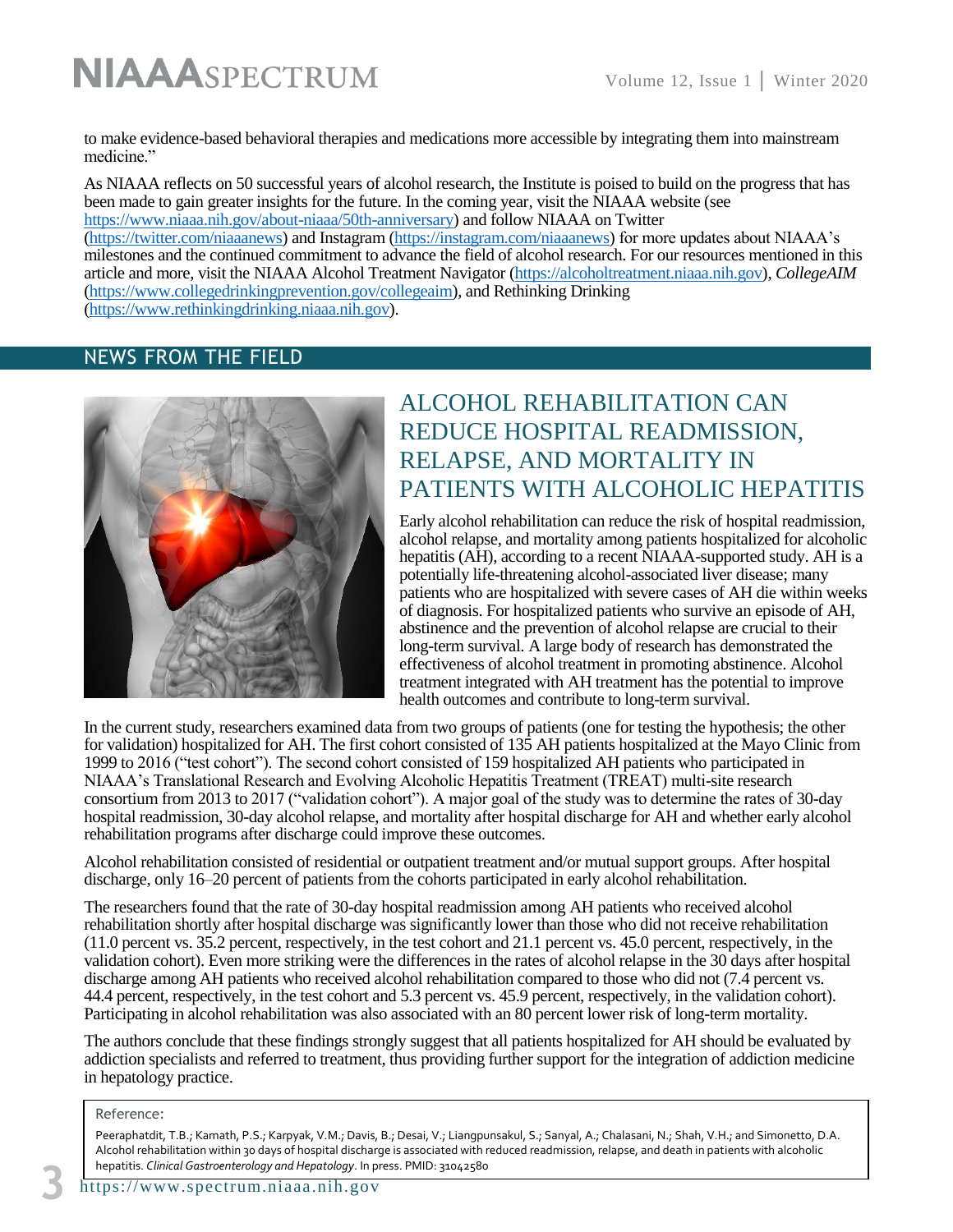to make evidence-based behavioral therapies and medications more accessible by integrating them into mainstream medicine."

As NIAAA reflects on 50 successful years of alcohol research, the Institute is poised to build on the progress that has been made to gain greater insights for the future. In the coming year, visit the NIAAA website (see [https://www.niaaa.nih.gov/about-niaaa/50th-anniversary\)](https://www.niaaa.nih.gov/about-niaaa/50th-anniversary) and follow NIAAA on Twitter [\(https://twitter.com/niaaanews\)](https://twitter.com/niaaanews) and Instagram [\(https://instagram.com/niaaanews\)](https://instagram.com/niaaanews) for more updates about NIAAA's milestones and the continued commitment to advance the field of alcohol research. For our resources mentioned in this article and more, visit the NIAAA Alcohol Treatment Navigator [\(https://alcoholtreatment.niaaa.nih.gov\)](https://alcoholtreatment.niaaa.nih.gov/), *CollegeAIM* [\(https://www.collegedrinkingprevention.gov/collegeaim\)](https://www.collegedrinkingprevention.gov/collegeaim), and Rethinking Drinking (https://www.rethinkingdrinking.niaaa.nih.gov).

#### NEWS FROM THE FIELD



# ALCOHOL REHABILITATION CAN REDUCE HOSPITAL READMISSION, RELAPSE, AND MORTALITY IN PATIENTS WITH ALCOHOLIC HEPATITIS

Early alcohol rehabilitation can reduce the risk of hospital readmission, alcohol relapse, and mortality among patients hospitalized for alcoholic hepatitis (AH), according to a recent NIAAA-supported study. AH is a potentially life-threatening alcohol-associated liver disease; many patients who are hospitalized with severe cases of AH die within weeks of diagnosis. For hospitalized patients who survive an episode of AH, abstinence and the prevention of alcohol relapse are crucial to their long-term survival. A large body of research has demonstrated the effectiveness of alcohol treatment in promoting abstinence. Alcohol treatment integrated with AH treatment has the potential to improve health outcomes and contribute to long-term survival.

In the current study, researchers examined data from two groups of patients (one for testing the hypothesis; the other for validation) hospitalized for AH. The first cohort consisted of 135 AH patients hospitalized at the Mayo Clinic from 1999 to 2016 ("test cohort"). The second cohort consisted of 159 hospitalized AH patients who participated in NIAAA's Translational Research and Evolving Alcoholic Hepatitis Treatment (TREAT) multi-site research consortium from 2013 to 2017 ("validation cohort"). A major goal of the study was to determine the rates of 30-day hospital readmission, 30-day alcohol relapse, and mortality after hospital discharge for AH and whether early alcohol rehabilitation programs after discharge could improve these outcomes.

Alcohol rehabilitation consisted of residential or outpatient treatment and/or mutual support groups. After hospital discharge, only 16–20 percent of patients from the cohorts participated in early alcohol rehabilitation.

The researchers found that the rate of 30-day hospital readmission among AH patients who received alcohol rehabilitation shortly after hospital discharge was significantly lower than those who did not receive rehabilitation (11.0 percent vs. 35.2 percent, respectively, in the test cohort and 21.1 percent vs. 45.0 percent, respectively, in the validation cohort). Even more striking were the differences in the rates of alcohol relapse in the 30 days after hospital discharge among AH patients who received alcohol rehabilitation compared to those who did not (7.4 percent vs. 44.4 percent, respectively, in the test cohort and 5.3 percent vs. 45.9 percent, respectively, in the validation cohort). Participating in alcohol rehabilitation was also associated with an 80 percent lower risk of long-term mortality.

The authors conclude that these findings strongly suggest that all patients hospitalized for AH should be evaluated by addiction specialists and referred to treatment, thus providing further support for the integration of addiction medicine in hepatology practice.

#### Reference:

Peeraphatdit, T.B.; Kamath, P.S.; Karpyak, V.M.; Davis, B.; Desai, V.; Liangpunsakul, S.; Sanyal, A.; Chalasani, N.; Shah, V.H.; and Simonetto, D.A. Alcohol rehabilitation within 30 days of hospital discharge is associated with reduced readmission, relapse, and death in patients with alcoholic hepatitis. *Clinical Gastroenterology and Hepatology*. In press. PMID: 31042580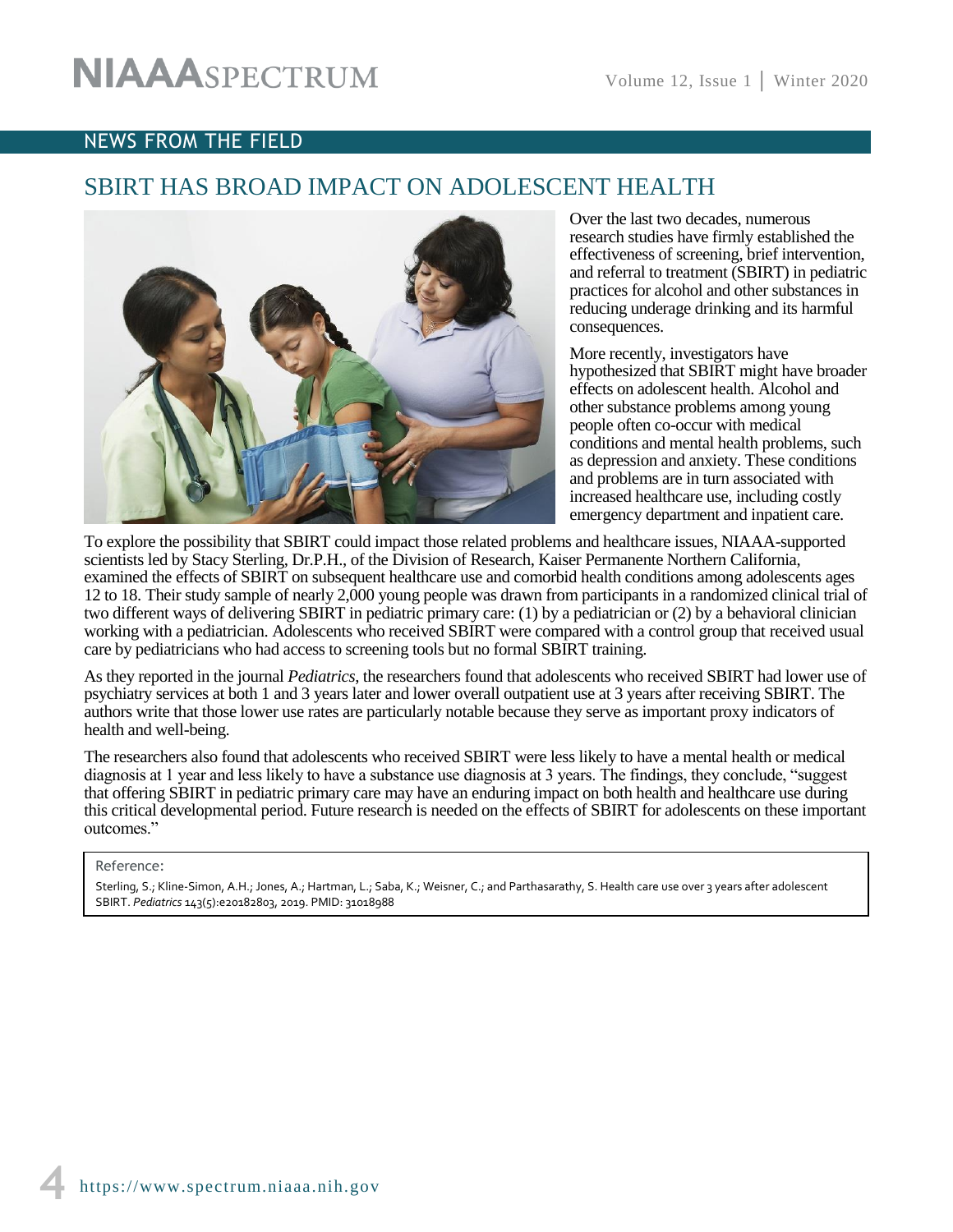### NEWS FROM THE FIELD

# SBIRT HAS BROAD IMPACT ON ADOLESCENT HEALTH



Over the last two decades, numerous research studies have firmly established the effectiveness of screening, brief intervention, and referral to treatment (SBIRT) in pediatric practices for alcohol and other substances in reducing underage drinking and its harmful consequences.

More recently, investigators have hypothesized that SBIRT might have broader effects on adolescent health. Alcohol and other substance problems among young people often co-occur with medical conditions and mental health problems, such as depression and anxiety. These conditions and problems are in turn associated with increased healthcare use, including costly emergency department and inpatient care.

To explore the possibility that SBIRT could impact those related problems and healthcare issues, NIAAA-supported scientists led by Stacy Sterling, Dr.P.H., of the Division of Research, Kaiser Permanente Northern California, examined the effects of SBIRT on subsequent healthcare use and comorbid health conditions among adolescents ages 12 to 18. Their study sample of nearly 2,000 young people was drawn from participants in a randomized clinical trial of two different ways of delivering SBIRT in pediatric primary care: (1) by a pediatrician or (2) by a behavioral clinician working with a pediatrician. Adolescents who received SBIRT were compared with a control group that received usual care by pediatricians who had access to screening tools but no formal SBIRT training.

As they reported in the journal *Pediatrics*, the researchers found that adolescents who received SBIRT had lower use of psychiatry services at both 1 and 3 years later and lower overall outpatient use at 3 years after receiving SBIRT. The authors write that those lower use rates are particularly notable because they serve as important proxy indicators of health and well-being.

The researchers also found that adolescents who received SBIRT were less likely to have a mental health or medical diagnosis at 1 year and less likely to have a substance use diagnosis at 3 years. The findings, they conclude, "suggest that offering SBIRT in pediatric primary care may have an enduring impact on both health and healthcare use during this critical developmental period. Future research is needed on the effects of SBIRT for adolescents on these important outcomes."

#### Reference:

Sterling, S.; Kline-Simon, A.H.; Jones, A.; Hartman, L.; Saba, K.; Weisner, C.; and Parthasarathy, S. Health care use over 3 years after adolescent SBIRT. *Pediatrics* 143(5):e20182803, 2019. PMID: 31018988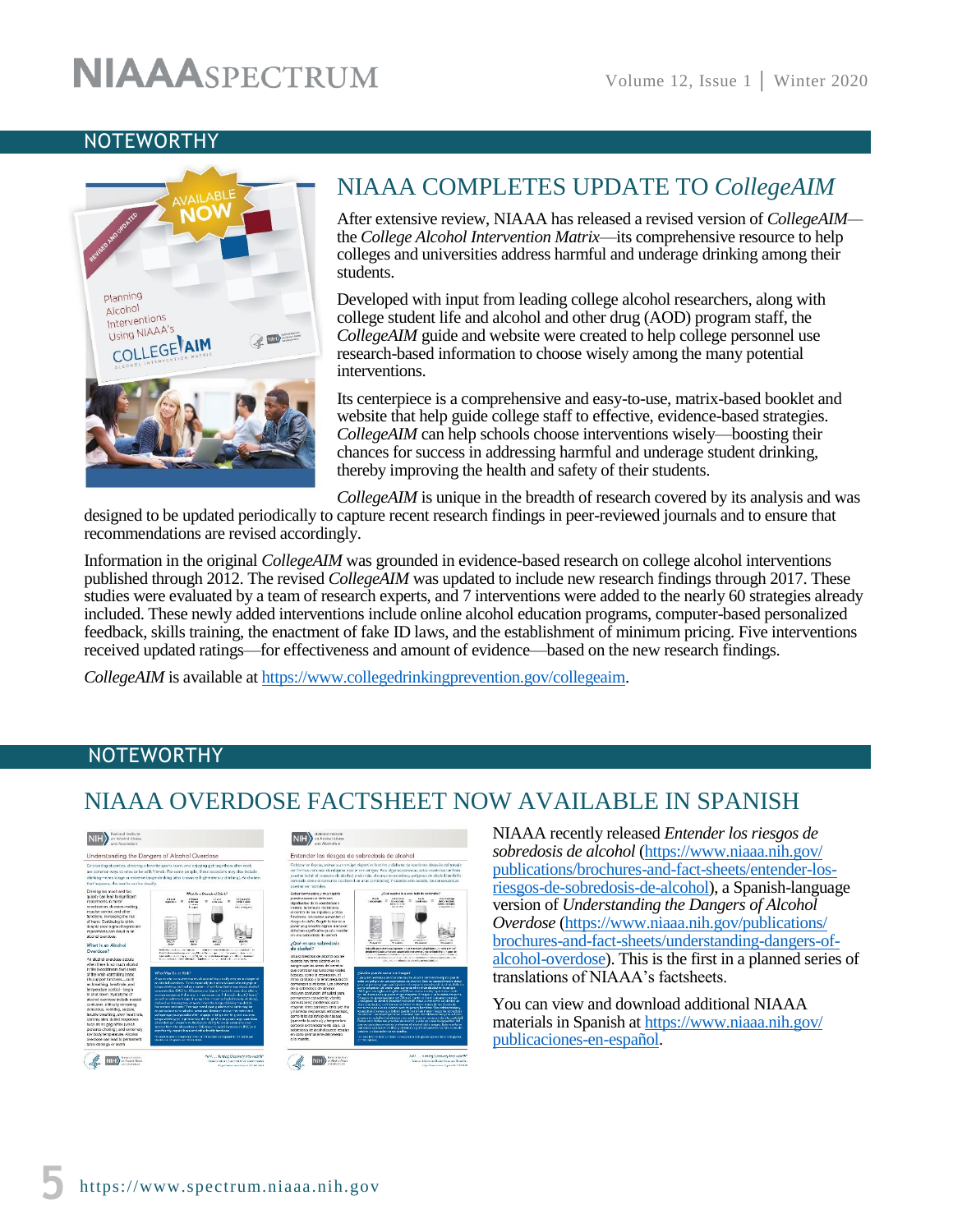## **NOTEWORTHY**



# NIAAA COMPLETES UPDATE TO *CollegeAIM*

After extensive review, NIAAA has released a revised version of *CollegeAIM* the *College Alcohol Intervention Matrix*—its comprehensive resource to help colleges and universities address harmful and underage drinking among their students.

Developed with input from leading college alcohol researchers, along with college student life and alcohol and other drug (AOD) program staff, the *CollegeAIM* guide and website were created to help college personnel use research-based information to choose wisely among the many potential interventions.

Its centerpiece is a comprehensive and easy-to-use, matrix-based booklet and website that help guide college staff to effective, evidence-based strategies. *CollegeAIM* can help schools choose interventions wisely—boosting their chances for success in addressing harmful and underage student drinking, thereby improving the health and safety of their students.

*CollegeAIM* is unique in the breadth of research covered by its analysis and was designed to be updated periodically to capture recent research findings in peer-reviewed journals and to ensure that recommendations are revised accordingly.

Information in the original *CollegeAIM* was grounded in evidence-based research on college alcohol interventions published through 2012. The revised *CollegeAIM* was updated to include new research findings through 2017. These studies were evaluated by a team of research experts, and 7 interventions were added to the nearly 60 strategies already included. These newly added interventions include online alcohol education programs, computer-based personalized feedback, skills training, the enactment of fake ID laws, and the establishment of minimum pricing. Five interventions received updated ratings—for effectiveness and amount of evidence—based on the new research findings.

*CollegeAIM* is available at [https://www.collegedrinkingprevention.gov/collegeaim.](https://www.collegedrinkingprevention.gov/collegeaim)

## **NOTEWORTHY**

# NIAAA OVERDOSE FACTSHEET NOW AVAILABLE IN SPANISH



NIAAA recently released *Entender los riesgos de sobredosis de alcohol* [\(https://www.niaaa.nih.gov/](https://www.niaaa.nih.gov/publications/brochures-and-fact-sheets/entender-los-riesgos-de-sobredosis-de-alcohol)  [publications/brochures-and-fact-sheets/entender-los](https://www.niaaa.nih.gov/publications/brochures-and-fact-sheets/entender-los-riesgos-de-sobredosis-de-alcohol)[riesgos-de-sobredosis-de-alcohol\)](https://www.niaaa.nih.gov/publications/brochures-and-fact-sheets/entender-los-riesgos-de-sobredosis-de-alcohol), a Spanish-language version of *[Understanding the Dangers of Alcohol](https://www.niaaa.nih.gov/publications/brochures-and-fact-sheets/understanding-dangers-of-alcohol-overdose)  [Overdose](https://www.niaaa.nih.gov/publications/brochures-and-fact-sheets/understanding-dangers-of-alcohol-overdose)* [\(https://www.niaaa.nih.gov/publications/](https://www.niaaa.nih.gov/publications/brochures-and-fact-sheets/understanding-dangers-of-alcohol-overdose)  [brochures-and-fact-sheets/understanding-dangers-of](https://www.niaaa.nih.gov/publications/brochures-and-fact-sheets/understanding-dangers-of-alcohol-overdose)[alcohol-overdose\)](https://www.niaaa.nih.gov/publications/brochures-and-fact-sheets/understanding-dangers-of-alcohol-overdose). This is the first in a planned series of translations of NIAAA's factsheets.

You can view and download additional NIAAA materials in Spanish at [https://www.niaaa.nih.gov/](https://www.niaaa.nih.gov/publicaciones-en-español)  [publicaciones-en-español.](https://www.niaaa.nih.gov/publicaciones-en-español)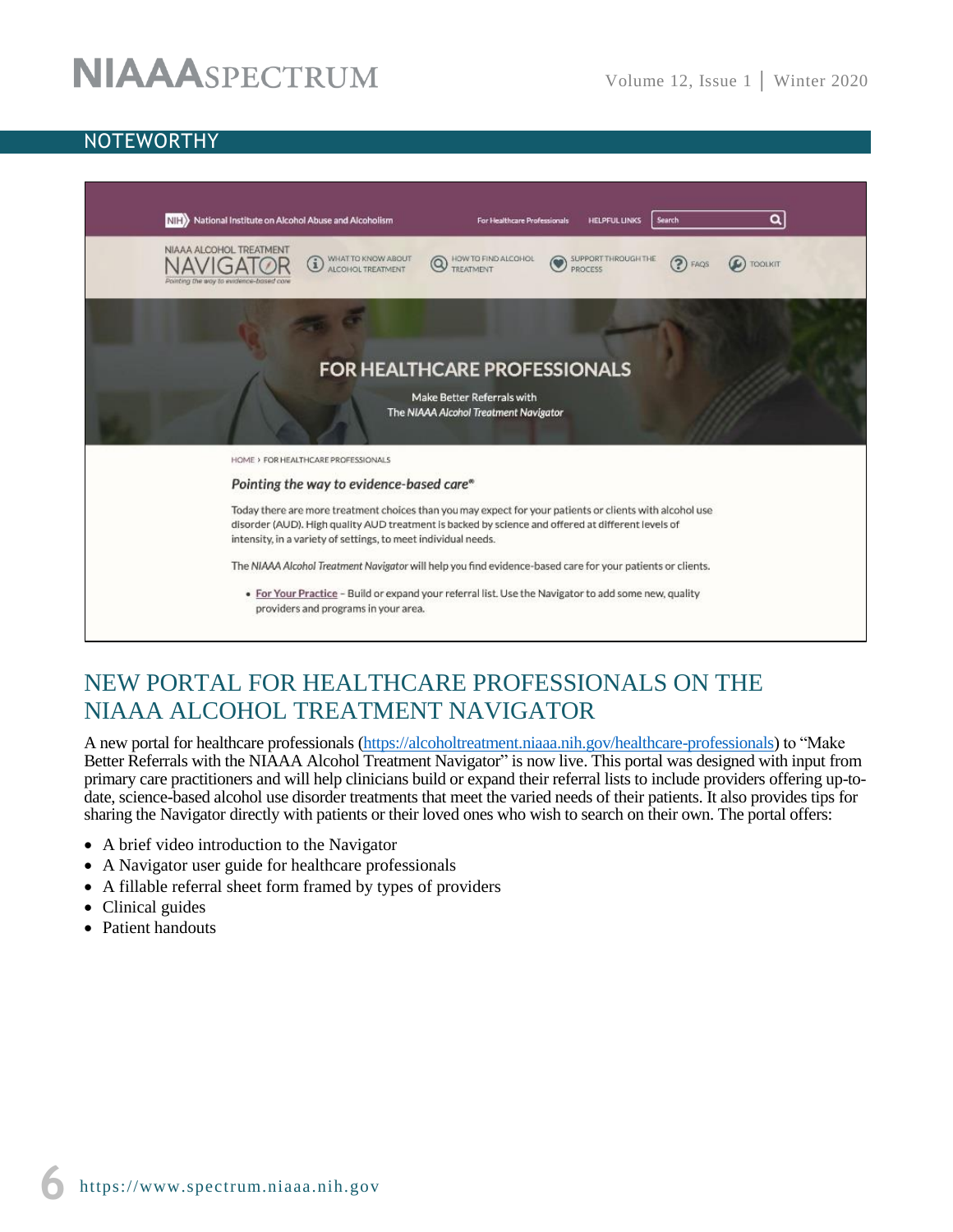# **NOTEWORTHY**



# NEW PORTAL FOR HEALTHCARE PROFESSIONALS ON THE NIAAA ALCOHOL TREATMENT NAVIGATOR

A new portal for healthcare professionals [\(https://alcoholtreatment.niaaa.nih.gov/healthcare-professionals\)](https://alcoholtreatment.niaaa.nih.gov/healthcare-professionals) to "Make Better Referrals with the NIAAA Alcohol Treatment Navigator" is now live. This portal was designed with input from primary care practitioners and will help clinicians build or expand their referral lists to include providers offering up-todate, science-based alcohol use disorder treatments that meet the varied needs of their patients. It also provides tips for sharing the Navigator directly with patients or their loved ones who wish to search on their own. The portal offers:

- A brief video introduction to the Navigator
- A Navigator user guide for healthcare professionals
- A fillable referral sheet form framed by types of providers
- Clinical guides
- Patient handouts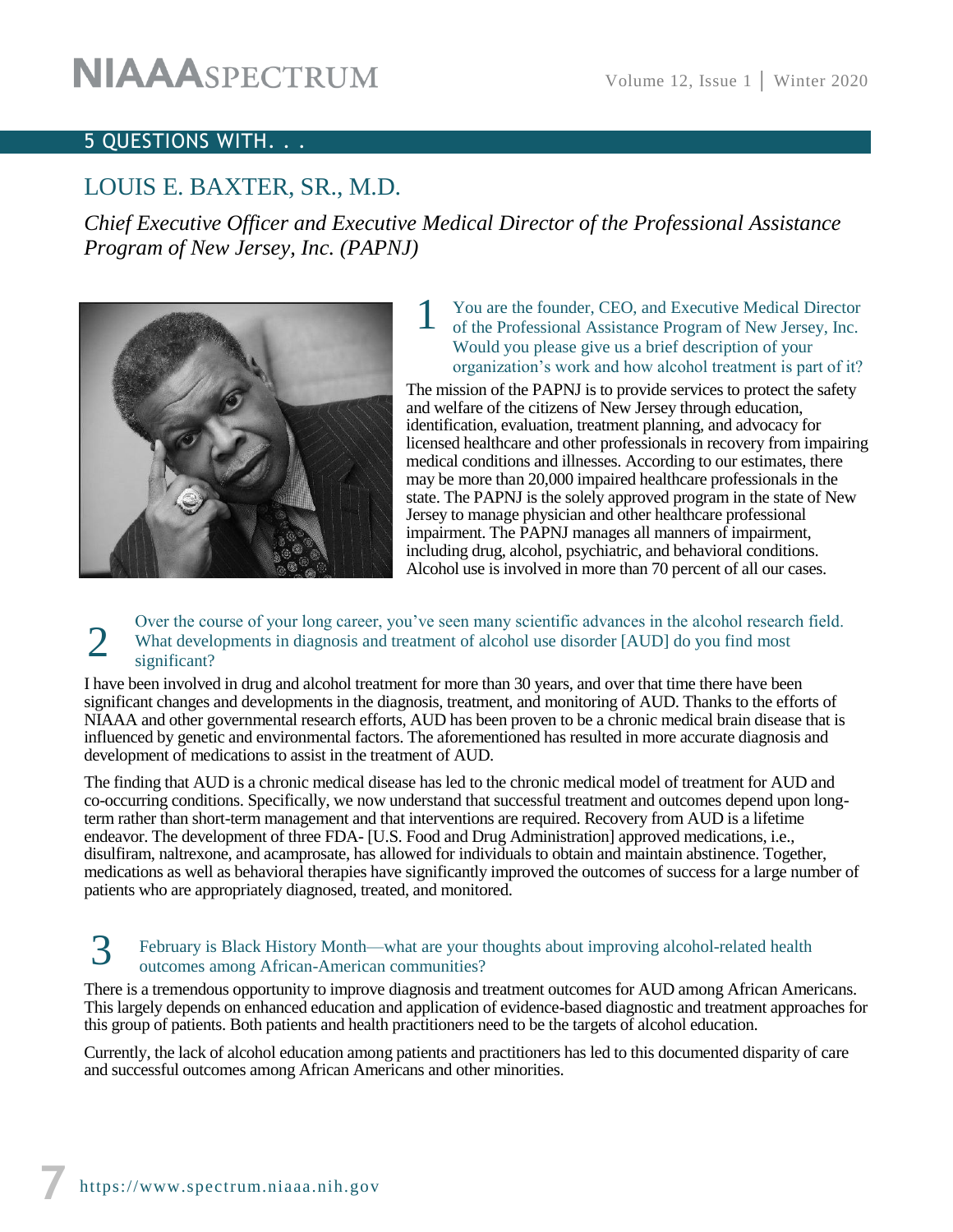## 5 QUESTIONS WITH. . .

# LOUIS E. BAXTER, SR., M.D.

*Chief Executive Officer and Executive Medical Director of the Professional Assistance Program of New Jersey, Inc. (PAPNJ)* 



#### You are the founder, CEO, and Executive Medical Director of the Professional Assistance Program of New Jersey, Inc. Would you please give us a brief description of your organization's work and how alcohol treatment is part of it? 1

The mission of the PAPNJ is to provide services to protect the safety and welfare of the citizens of New Jersey through education, identification, evaluation, treatment planning, and advocacy for licensed healthcare and other professionals in recovery from impairing medical conditions and illnesses. According to our estimates, there may be more than 20,000 impaired healthcare professionals in the state. The PAPNJ is the solely approved program in the state of New Jersey to manage physician and other healthcare professional impairment. The PAPNJ manages all manners of impairment, including drug, alcohol, psychiatric, and behavioral conditions. Alcohol use is involved in more than 70 percent of all our cases.

#### Over the course of your long career, you've seen many scientific advances in the alcohol research field. What developments in diagnosis and treatment of alcohol use disorder [AUD] do you find most significant? 2

I have been involved in drug and alcohol treatment for more than 30 years, and over that time there have been significant changes and developments in the diagnosis, treatment, and monitoring of AUD. Thanks to the efforts of NIAAA and other governmental research efforts, AUD has been proven to be a chronic medical brain disease that is influenced by genetic and environmental factors. The aforementioned has resulted in more accurate diagnosis and development of medications to assist in the treatment of AUD.

The finding that AUD is a chronic medical disease has led to the chronic medical model of treatment for AUD and co-occurring conditions. Specifically, we now understand that successful treatment and outcomes depend upon longterm rather than short-term management and that interventions are required. Recovery from AUD is a lifetime endeavor. The development of three FDA- [U.S. Food and Drug Administration] approved medications, i.e., disulfiram, naltrexone, and acamprosate, has allowed for individuals to obtain and maintain abstinence. Together, medications as well as behavioral therapies have significantly improved the outcomes of success for a large number of patients who are appropriately diagnosed, treated, and monitored.

#### February is Black History Month—what are your thoughts about improving alcohol-related health outcomes among African-American communities? 3

There is a tremendous opportunity to improve diagnosis and treatment outcomes for AUD among African Americans. This largely depends on enhanced education and application of evidence-based diagnostic and treatment approaches for this group of patients. Both patients and health practitioners need to be the targets of alcohol education.

Currently, the lack of alcohol education among patients and practitioners has led to this documented disparity of care and successful outcomes among African Americans and other minorities.